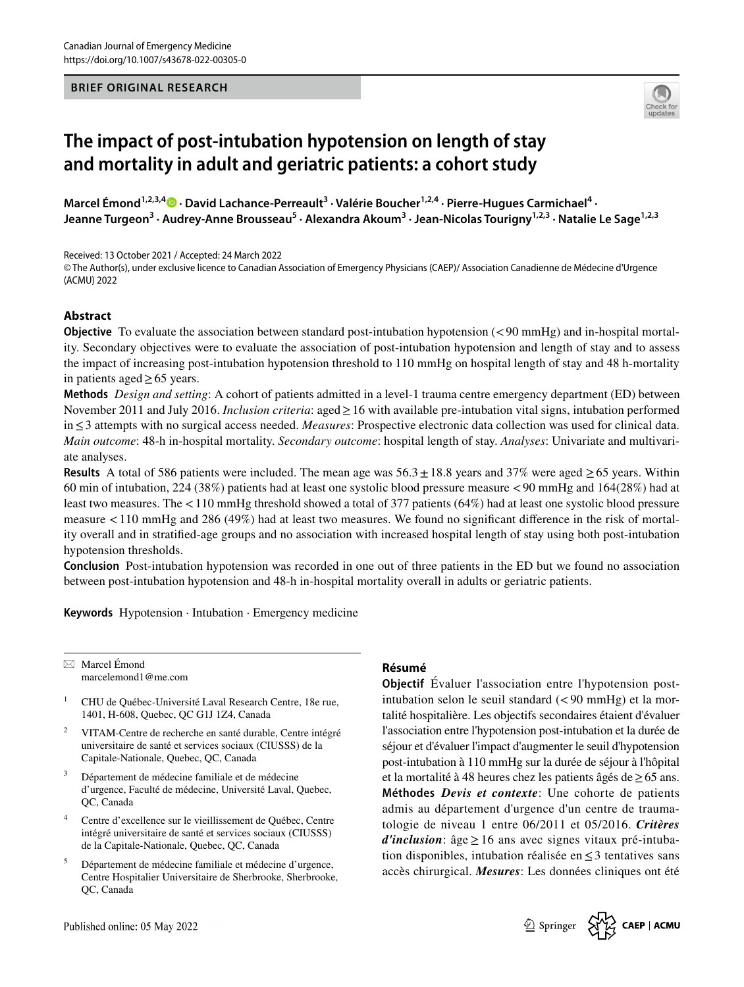

# **The impact of post‑intubation hypotension on length of stay and mortality in adult and geriatric patients: a cohort study**

Marcel Émond<sup>1,2,3,4</sup> • David Lachance-Perreault<sup>3</sup> [·](http://orcid.org/0000-0001-7158-8110) Valérie Boucher<sup>1,2,4</sup> · Pierre-Hugues Carmichael<sup>4</sup> · Jeanne Turgeon<sup>3</sup> · Audrey-Anne Brousseau<sup>5</sup> · Alexandra Akoum<sup>3</sup> · Jean-Nicolas Tourigny<sup>1,2,3</sup> · Natalie Le Sage<sup>1,2,3</sup>

Received: 13 October 2021 / Accepted: 24 March 2022

© The Author(s), under exclusive licence to Canadian Association of Emergency Physicians (CAEP)/ Association Canadienne de Médecine d'Urgence (ACMU) 2022

# **Abstract**

**Objective** To evaluate the association between standard post-intubation hypotension (<90 mmHg) and in-hospital mortality. Secondary objectives were to evaluate the association of post-intubation hypotension and length of stay and to assess the impact of increasing post-intubation hypotension threshold to 110 mmHg on hospital length of stay and 48 h-mortality in patients aged≥65 years.

**Methods** *Design and setting*: A cohort of patients admitted in a level-1 trauma centre emergency department (ED) between November 2011 and July 2016. *Inclusion criteria*: aged≥16 with available pre-intubation vital signs, intubation performed in≤3 attempts with no surgical access needed. *Measures*: Prospective electronic data collection was used for clinical data. *Main outcome*: 48-h in-hospital mortality. *Secondary outcome*: hospital length of stay. *Analyses*: Univariate and multivariate analyses.

**Results** A total of 586 patients were included. The mean age was  $56.3 \pm 18.8$  years and 37% were aged  $\geq 65$  years. Within 60 min of intubation, 224 (38%) patients had at least one systolic blood pressure measure <90 mmHg and 164(28%) had at least two measures. The <110 mmHg threshold showed a total of 377 patients (64%) had at least one systolic blood pressure measure <110 mmHg and 286 (49%) had at least two measures. We found no signifcant diference in the risk of mortality overall and in stratifed-age groups and no association with increased hospital length of stay using both post-intubation hypotension thresholds.

**Conclusion** Post-intubation hypotension was recorded in one out of three patients in the ED but we found no association between post-intubation hypotension and 48-h in-hospital mortality overall in adults or geriatric patients.

**Keywords** Hypotension · Intubation · Emergency medicine

 $\boxtimes$  Marcel Émond marcelemond1@me.com

- <sup>1</sup> CHU de Québec-Université Laval Research Centre, 18e rue, 1401, H-608, Quebec, QC G1J 1Z4, Canada
- <sup>2</sup> VITAM-Centre de recherche en santé durable, Centre intégré universitaire de santé et services sociaux (CIUSSS) de la Capitale-Nationale, Quebec, QC, Canada
- <sup>3</sup> Département de médecine familiale et de médecine d'urgence, Faculté de médecine, Université Laval, Quebec, QC, Canada
- <sup>4</sup> Centre d'excellence sur le vieillissement de Québec, Centre intégré universitaire de santé et services sociaux (CIUSSS) de la Capitale-Nationale, Quebec, QC, Canada
- <sup>5</sup> Département de médecine familiale et médecine d'urgence, Centre Hospitalier Universitaire de Sherbrooke, Sherbrooke, QC, Canada

#### **Résumé**

**SERUCI CONSUMAL RESEARCH<br>
16 impact of post-intulation hypotension on length of stay<br>
16 and mortality in adult and geriatric patients: a colonic study<br>
16 and mortality in adult and geriatric patients: a colonic study<br> Objectif** Évaluer l'association entre l'hypotension postintubation selon le seuil standard  $(< 90$  mmHg) et la mortalité hospitalière. Les objectifs secondaires étaient d'évaluer l'association entre l'hypotension post-intubation et la durée de séjour et d'évaluer l'impact d'augmenter le seuil d'hypotension post-intubation à 110 mmHg sur la durée de séjour à l'hôpital et la mortalité à 48 heures chez les patients âgés de≥65 ans. **Méthodes** *Devis et contexte*: Une cohorte de patients admis au département d'urgence d'un centre de traumatologie de niveau 1 entre 06/2011 et 05/2016. *Critères d'inclusion*: âge≥16 ans avec signes vitaux pré-intubation disponibles, intubation réalisée en≤3 tentatives sans accès chirurgical. *Mesures*: Les données cliniques ont été

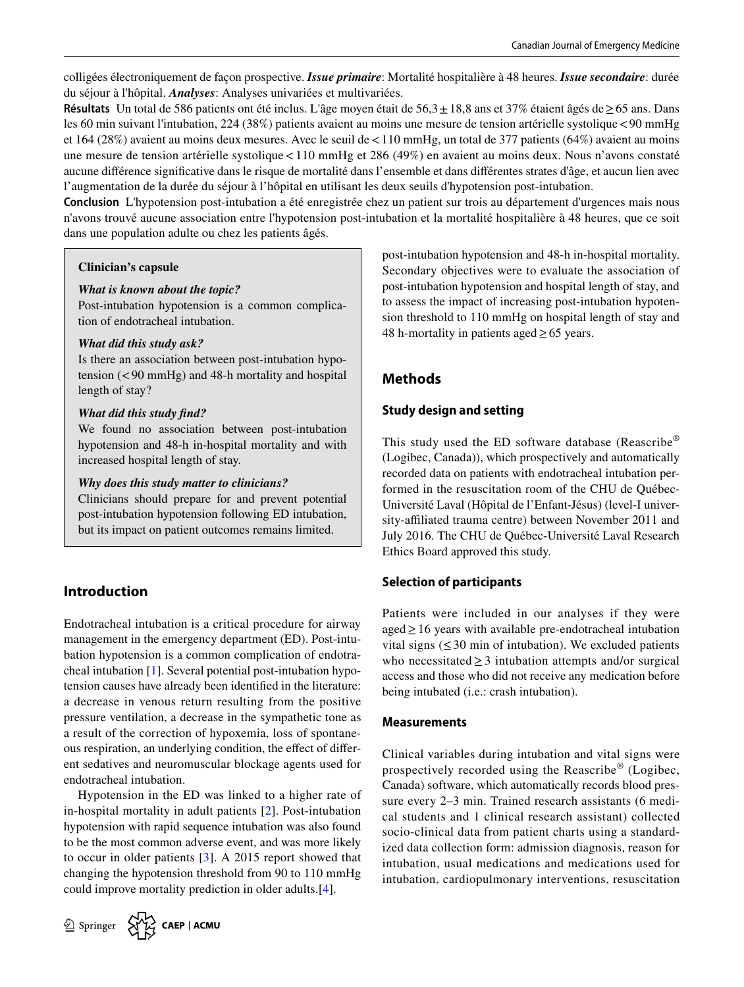colligées électroniquement de façon prospective. *Issue primaire*: Mortalité hospitalière à 48 heures. *Issue secondaire*: durée du séjour à l'hôpital. *Analyses*: Analyses univariées et multivariées.

**Résultats** Un total de 586 patients ont été inclus. L'âge moyen était de 56,3±18,8 ans et 37% étaient âgés de≥65 ans. Dans les 60 min suivant l'intubation, 224 (38%) patients avaient au moins une mesure de tension artérielle systolique<90 mmHg et 164 (28%) avaient au moins deux mesures. Avec le seuil de<110 mmHg, un total de 377 patients (64%) avaient au moins une mesure de tension artérielle systolique<110 mmHg et 286 (49%) en avaient au moins deux. Nous n'avons constaté aucune diférence signifcative dans le risque de mortalité dans l'ensemble et dans diférentes strates d'âge, et aucun lien avec l'augmentation de la durée du séjour à l'hôpital en utilisant les deux seuils d'hypotension post-intubation.

**Conclusion** L'hypotension post-intubation a été enregistrée chez un patient sur trois au département d'urgences mais nous n'avons trouvé aucune association entre l'hypotension post-intubation et la mortalité hospitalière à 48 heures, que ce soit dans une population adulte ou chez les patients âgés.

#### **Clinician's capsule**

#### *What is known about the topic?*

Post-intubation hypotension is a common complication of endotracheal intubation.

#### *What did this study ask?*

Is there an association between post-intubation hypotension (<90 mmHg) and 48-h mortality and hospital length of stay?

#### *What did this study fnd?*

We found no association between post-intubation hypotension and 48-h in-hospital mortality and with increased hospital length of stay.

#### *Why does this study matter to clinicians?*

but its impact on patient outcomes remains limited. Clinicians should prepare for and prevent potential post-intubation hypotension following ED intubation,

# **Introduction**

Endotracheal intubation is a critical procedure for airway management in the emergency department (ED). Post-intubation hypotension is a common complication of endotracheal intubation [[1\]](#page-4-0). Several potential post-intubation hypotension causes have already been identifed in the literature: a decrease in venous return resulting from the positive pressure ventilation, a decrease in the sympathetic tone as a result of the correction of hypoxemia, loss of spontaneous respiration, an underlying condition, the efect of diferent sedatives and neuromuscular blockage agents used for endotracheal intubation.

Hypotension in the ED was linked to a higher rate of in-hospital mortality in adult patients [\[2](#page-4-1)]. Post-intubation hypotension with rapid sequence intubation was also found to be the most common adverse event, and was more likely to occur in older patients [[3\]](#page-4-2). A 2015 report showed that changing the hypotension threshold from 90 to 110 mmHg could improve mortality prediction in older adults.[\[4\]](#page-4-3).



post-intubation hypotension and 48-h in-hospital mortality. Secondary objectives were to evaluate the association of post-intubation hypotension and hospital length of stay, and to assess the impact of increasing post-intubation hypotension threshold to 110 mmHg on hospital length of stay and 48 h-mortality in patients aged≥65 years.

# **Methods**

# **Study design and setting**

This study used the ED software database (Reascribe® (Logibec, Canada)), which prospectively and automatically recorded data on patients with endotracheal intubation performed in the resuscitation room of the CHU de Québec-Université Laval (Hôpital de l'Enfant-Jésus) (level-I university-affiliated trauma centre) between November 2011 and July 2016. The CHU de Québec-Université Laval Research Ethics Board approved this study.

# **Selection of participants**

Patients were included in our analyses if they were aged≥16 years with available pre-endotracheal intubation vital signs  $(\leq 30 \text{ min of intubation})$ . We excluded patients who necessitated  $\geq$  3 intubation attempts and/or surgical access and those who did not receive any medication before being intubated (i.e.: crash intubation).

# **Measurements**

Clinical variables during intubation and vital signs were prospectively recorded using the Reascribe® (Logibec, Canada) software, which automatically records blood pressure every 2–3 min. Trained research assistants (6 medical students and 1 clinical research assistant) collected socio-clinical data from patient charts using a standardized data collection form: admission diagnosis, reason for intubation, usual medications and medications used for intubation, cardiopulmonary interventions, resuscitation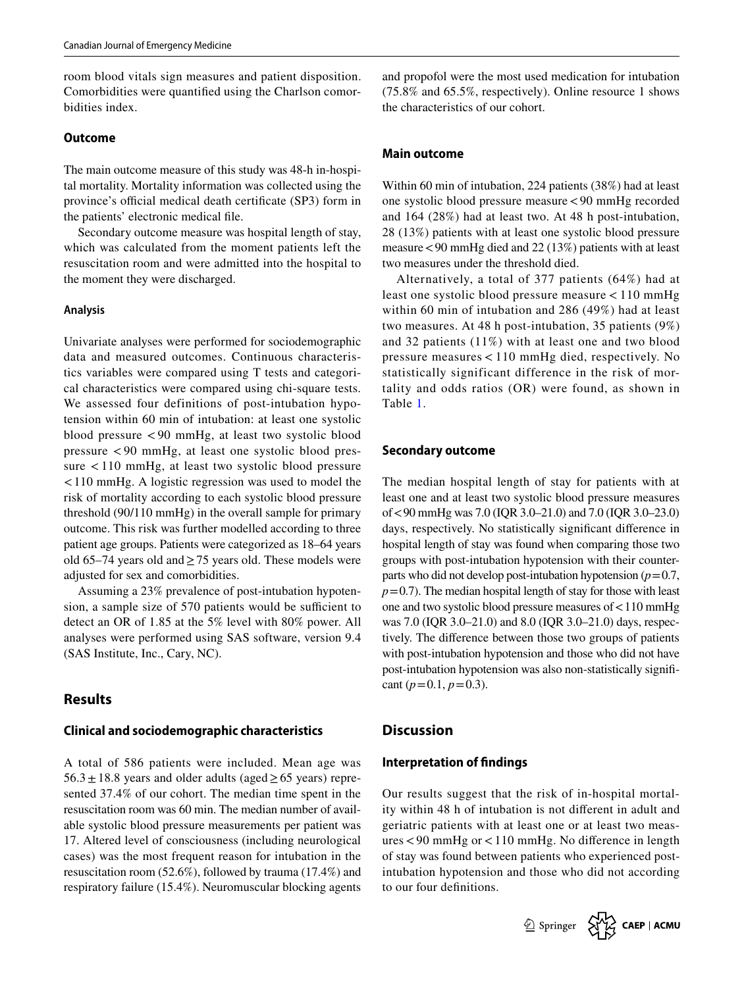room blood vitals sign measures and patient disposition. Comorbidities were quantifed using the Charlson comorbidities index.

#### **Outcome**

The main outcome measure of this study was 48-h in-hospital mortality. Mortality information was collected using the province's official medical death certificate (SP3) form in the patients' electronic medical fle.

Secondary outcome measure was hospital length of stay, which was calculated from the moment patients left the resuscitation room and were admitted into the hospital to the moment they were discharged.

#### **Analysis**

Univariate analyses were performed for sociodemographic data and measured outcomes. Continuous characteristics variables were compared using T tests and categorical characteristics were compared using chi-square tests. We assessed four definitions of post-intubation hypotension within 60 min of intubation: at least one systolic blood pressure < 90 mmHg, at least two systolic blood pressure < 90 mmHg, at least one systolic blood pressure < 110 mmHg, at least two systolic blood pressure <110 mmHg. A logistic regression was used to model the risk of mortality according to each systolic blood pressure threshold (90/110 mmHg) in the overall sample for primary outcome. This risk was further modelled according to three patient age groups. Patients were categorized as 18–64 years old 65–74 years old and  $\geq$  75 years old. These models were adjusted for sex and comorbidities.

Assuming a 23% prevalence of post-intubation hypotension, a sample size of 570 patients would be sufficient to detect an OR of 1.85 at the 5% level with 80% power. All analyses were performed using SAS software, version 9.4 (SAS Institute, Inc., Cary, NC).

### **Results**

#### **Clinical and sociodemographic characteristics**

A total of 586 patients were included. Mean age was  $56.3 \pm 18.8$  years and older adults (aged  $\geq 65$  years) represented 37.4% of our cohort. The median time spent in the resuscitation room was 60 min. The median number of available systolic blood pressure measurements per patient was 17. Altered level of consciousness (including neurological cases) was the most frequent reason for intubation in the resuscitation room (52.6%), followed by trauma (17.4%) and respiratory failure (15.4%). Neuromuscular blocking agents and propofol were the most used medication for intubation (75.8% and 65.5%, respectively). Online resource 1 shows the characteristics of our cohort.

#### **Main outcome**

Within 60 min of intubation, 224 patients (38%) had at least one systolic blood pressure measure<90 mmHg recorded and 164 (28%) had at least two. At 48 h post-intubation, 28 (13%) patients with at least one systolic blood pressure measure<90 mmHg died and 22 (13%) patients with at least two measures under the threshold died.

Alternatively, a total of 377 patients (64%) had at least one systolic blood pressure measure < 110 mmHg within 60 min of intubation and 286 (49%) had at least two measures. At 48 h post-intubation, 35 patients (9%) and 32 patients (11%) with at least one and two blood pressure measures < 110 mmHg died, respectively. No statistically significant difference in the risk of mortality and odds ratios (OR) were found, as shown in Table [1.](#page-3-0)

#### **Secondary outcome**

The median hospital length of stay for patients with at least one and at least two systolic blood pressure measures of<90 mmHg was 7.0 (IQR 3.0–21.0) and 7.0 (IQR 3.0–23.0) days, respectively. No statistically signifcant diference in hospital length of stay was found when comparing those two groups with post-intubation hypotension with their counterparts who did not develop post-intubation hypotension  $(p=0.7)$ ,  $p=0.7$ ). The median hospital length of stay for those with least one and two systolic blood pressure measures of<110 mmHg was 7.0 (IQR 3.0–21.0) and 8.0 (IQR 3.0–21.0) days, respectively. The diference between those two groups of patients with post-intubation hypotension and those who did not have post-intubation hypotension was also non-statistically signifcant  $(p=0.1, p=0.3)$ .

#### **Discussion**

#### **Interpretation of fndings**

Our results suggest that the risk of in-hospital mortality within 48 h of intubation is not diferent in adult and geriatric patients with at least one or at least two measures<90 mmHg or<110 mmHg. No diference in length of stay was found between patients who experienced postintubation hypotension and those who did not according to our four defnitions.

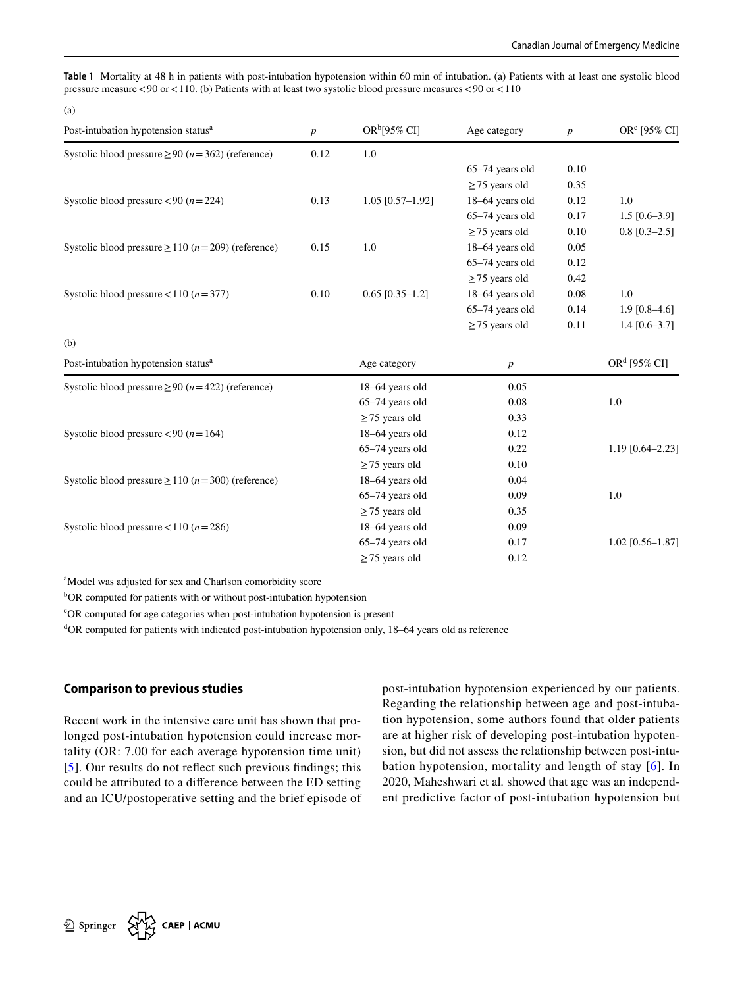<span id="page-3-0"></span>**Table 1** Mortality at 48 h in patients with post-intubation hypotension within 60 min of intubation. (a) Patients with at least one systolic blood pressure measure  $<90$  or  $<110$ . (b) Patients with at least two systolic blood pressure measures  $<90$  or  $<110$ 

| (a)                                                              |                  |                          |                     |                  |                 |
|------------------------------------------------------------------|------------------|--------------------------|---------------------|------------------|-----------------|
| Post-intubation hypotension status <sup>a</sup>                  | $\boldsymbol{p}$ | OR <sup>b</sup> [95% CI] | Age category        | $\boldsymbol{p}$ | $ORc$ [95% CI]  |
| Systolic blood pressure $\geq 90$ ( $n = 362$ ) (reference)      | 0.12             | 1.0                      |                     |                  |                 |
|                                                                  |                  |                          | $65-74$ years old   | 0.10             |                 |
|                                                                  |                  |                          | $\geq$ 75 years old | 0.35             |                 |
| Systolic blood pressure <90 ( $n = 224$ )                        | 0.13             | $1.05$ [0.57-1.92]       | 18-64 years old     | 0.12             | 1.0             |
|                                                                  |                  |                          | $65-74$ years old   | 0.17             | $1.5$ [0.6–3.9] |
|                                                                  |                  |                          | $\geq$ 75 years old | 0.10             | $0.8$ [0.3-2.5] |
| Systolic blood pressure $\geq$ 110 ( <i>n</i> = 209) (reference) | 0.15             | 1.0                      | 18–64 years old     | 0.05             |                 |
|                                                                  |                  |                          | $65-74$ years old   | 0.12             |                 |
|                                                                  |                  |                          | $\geq$ 75 years old | 0.42             |                 |
| Systolic blood pressure < 110 $(n=377)$                          | 0.10             | $0.65$ [0.35-1.2]        | 18–64 years old     | 0.08             | 1.0             |
|                                                                  |                  |                          | $65-74$ years old   | 0.14             | $1.9$ [0.8–4.6] |
|                                                                  |                  |                          | $\geq$ 75 years old | 0.11             | $1.4$ [0.6–3.7] |

| Post-intubation hypotension status <sup>a</sup>                  | Age category        | p    | OR <sup>d</sup> [95% CI] |
|------------------------------------------------------------------|---------------------|------|--------------------------|
| Systolic blood pressure $\geq 90$ ( $n = 422$ ) (reference)      | 18–64 years old     | 0.05 |                          |
|                                                                  | $65-74$ years old   | 0.08 | 1.0                      |
|                                                                  | $\geq$ 75 years old | 0.33 |                          |
| Systolic blood pressure < 90 ( $n = 164$ )                       | 18–64 years old     | 0.12 |                          |
|                                                                  | $65-74$ years old   | 0.22 | $1.19$ [0.64-2.23]       |
|                                                                  | $\geq$ 75 years old | 0.10 |                          |
| Systolic blood pressure $\geq$ 110 ( <i>n</i> = 300) (reference) | 18–64 years old     | 0.04 |                          |
|                                                                  | $65-74$ years old   | 0.09 | 1.0                      |
|                                                                  | $\geq$ 75 years old | 0.35 |                          |
| Systolic blood pressure < 110 $(n=286)$                          | 18–64 years old     | 0.09 |                          |
|                                                                  | $65-74$ years old   | 0.17 | $1.02$ [0.56-1.87]       |
|                                                                  | $\geq$ 75 years old | 0.12 |                          |

<sup>a</sup>Model was adjusted for sex and Charlson comorbidity score

<sup>b</sup>OR computed for patients with or without post-intubation hypotension

c OR computed for age categories when post-intubation hypotension is present

d OR computed for patients with indicated post-intubation hypotension only, 18–64 years old as reference

# **Comparison to previous studies**

Recent work in the intensive care unit has shown that prolonged post-intubation hypotension could increase mortality (OR: 7.00 for each average hypotension time unit) [[5\]](#page-4-4). Our results do not refect such previous fndings; this could be attributed to a diference between the ED setting and an ICU/postoperative setting and the brief episode of post-intubation hypotension experienced by our patients. Regarding the relationship between age and post-intubation hypotension, some authors found that older patients are at higher risk of developing post-intubation hypotension, but did not assess the relationship between post-intubation hypotension, mortality and length of stay [[6](#page-5-0)]. In 2020, Maheshwari et al*.* showed that age was an independent predictive factor of post-intubation hypotension but

(b)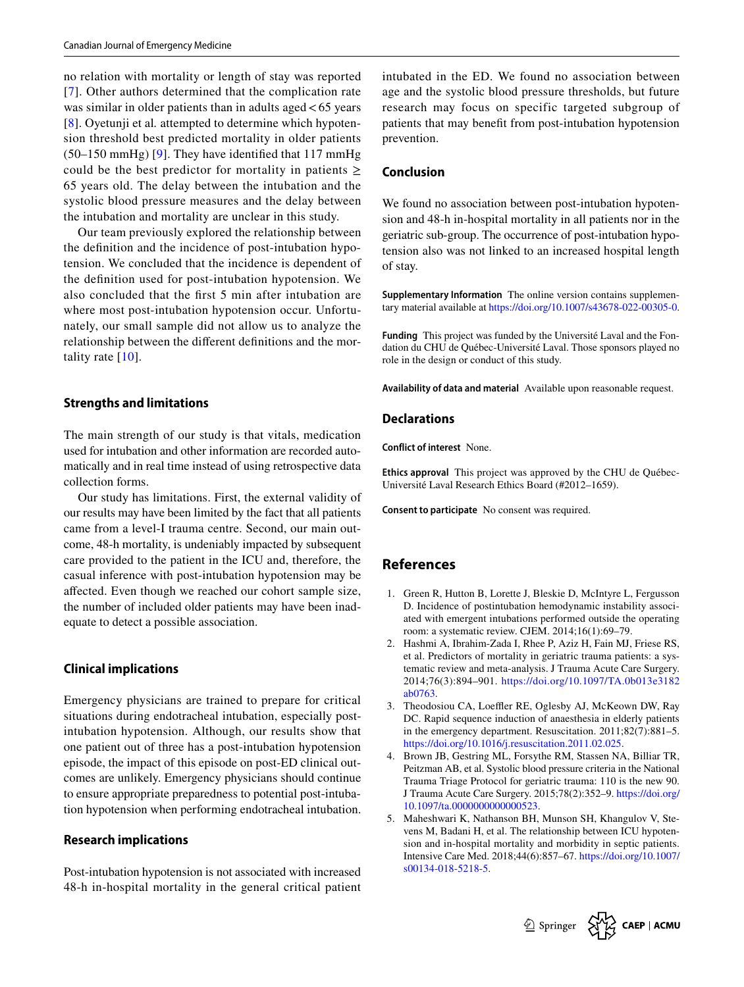no relation with mortality or length of stay was reported [[7\]](#page-5-1). Other authors determined that the complication rate was similar in older patients than in adults aged  $< 65$  years [\[8\]](#page-5-2). Oyetunji et al*.* attempted to determine which hypotension threshold best predicted mortality in older patients  $(50-150 \text{ mmHg})$  [\[9\]](#page-5-3). They have identified that 117 mmHg could be the best predictor for mortality in patients  $\geq$ 65 years old. The delay between the intubation and the systolic blood pressure measures and the delay between the intubation and mortality are unclear in this study.

Our team previously explored the relationship between the defnition and the incidence of post-intubation hypotension. We concluded that the incidence is dependent of the defnition used for post-intubation hypotension. We also concluded that the frst 5 min after intubation are where most post-intubation hypotension occur. Unfortunately, our small sample did not allow us to analyze the relationship between the diferent defnitions and the mortality rate [[10\]](#page-5-4).

# **Strengths and limitations**

The main strength of our study is that vitals, medication used for intubation and other information are recorded automatically and in real time instead of using retrospective data collection forms.

Our study has limitations. First, the external validity of our results may have been limited by the fact that all patients came from a level-I trauma centre. Second, our main outcome, 48-h mortality, is undeniably impacted by subsequent care provided to the patient in the ICU and, therefore, the casual inference with post-intubation hypotension may be afected. Even though we reached our cohort sample size, the number of included older patients may have been inadequate to detect a possible association.

### **Clinical implications**

Emergency physicians are trained to prepare for critical situations during endotracheal intubation, especially postintubation hypotension. Although, our results show that one patient out of three has a post-intubation hypotension episode, the impact of this episode on post-ED clinical outcomes are unlikely. Emergency physicians should continue to ensure appropriate preparedness to potential post-intubation hypotension when performing endotracheal intubation.

#### **Research implications**

Post-intubation hypotension is not associated with increased 48-h in-hospital mortality in the general critical patient intubated in the ED. We found no association between age and the systolic blood pressure thresholds, but future research may focus on specific targeted subgroup of patients that may beneft from post-intubation hypotension prevention.

# **Conclusion**

We found no association between post-intubation hypotension and 48-h in-hospital mortality in all patients nor in the geriatric sub-group. The occurrence of post-intubation hypotension also was not linked to an increased hospital length of stay.

**Supplementary Information** The online version contains supplementary material available at<https://doi.org/10.1007/s43678-022-00305-0>.

**Funding** This project was funded by the Université Laval and the Fondation du CHU de Québec-Université Laval. Those sponsors played no role in the design or conduct of this study.

**Availability of data and material** Available upon reasonable request.

#### **Declarations**

**Conflict of interest** None.

**Ethics approval** This project was approved by the CHU de Québec-Université Laval Research Ethics Board (#2012–1659).

**Consent to participate** No consent was required.

# **References**

- <span id="page-4-0"></span>1. Green R, Hutton B, Lorette J, Bleskie D, McIntyre L, Fergusson D. Incidence of postintubation hemodynamic instability associated with emergent intubations performed outside the operating room: a systematic review. CJEM. 2014;16(1):69–79.
- <span id="page-4-1"></span>2. Hashmi A, Ibrahim-Zada I, Rhee P, Aziz H, Fain MJ, Friese RS, et al. Predictors of mortality in geriatric trauma patients: a systematic review and meta-analysis. J Trauma Acute Care Surgery. 2014;76(3):894–901. [https://doi.org/10.1097/TA.0b013e3182](https://doi.org/10.1097/TA.0b013e3182ab0763) [ab0763](https://doi.org/10.1097/TA.0b013e3182ab0763).
- <span id="page-4-2"></span>3. Theodosiou CA, Loeffler RE, Oglesby AJ, McKeown DW, Ray DC. Rapid sequence induction of anaesthesia in elderly patients in the emergency department. Resuscitation. 2011;82(7):881–5. [https://doi.org/10.1016/j.resuscitation.2011.02.025.](https://doi.org/10.1016/j.resuscitation.2011.02.025)
- <span id="page-4-3"></span>4. Brown JB, Gestring ML, Forsythe RM, Stassen NA, Billiar TR, Peitzman AB, et al. Systolic blood pressure criteria in the National Trauma Triage Protocol for geriatric trauma: 110 is the new 90. J Trauma Acute Care Surgery. 2015;78(2):352–9. [https://doi.org/](https://doi.org/10.1097/ta.0000000000000523) [10.1097/ta.0000000000000523.](https://doi.org/10.1097/ta.0000000000000523)
- <span id="page-4-4"></span>5. Maheshwari K, Nathanson BH, Munson SH, Khangulov V, Stevens M, Badani H, et al. The relationship between ICU hypotension and in-hospital mortality and morbidity in septic patients. Intensive Care Med. 2018;44(6):857–67. [https://doi.org/10.1007/](https://doi.org/10.1007/s00134-018-5218-5) [s00134-018-5218-5.](https://doi.org/10.1007/s00134-018-5218-5)